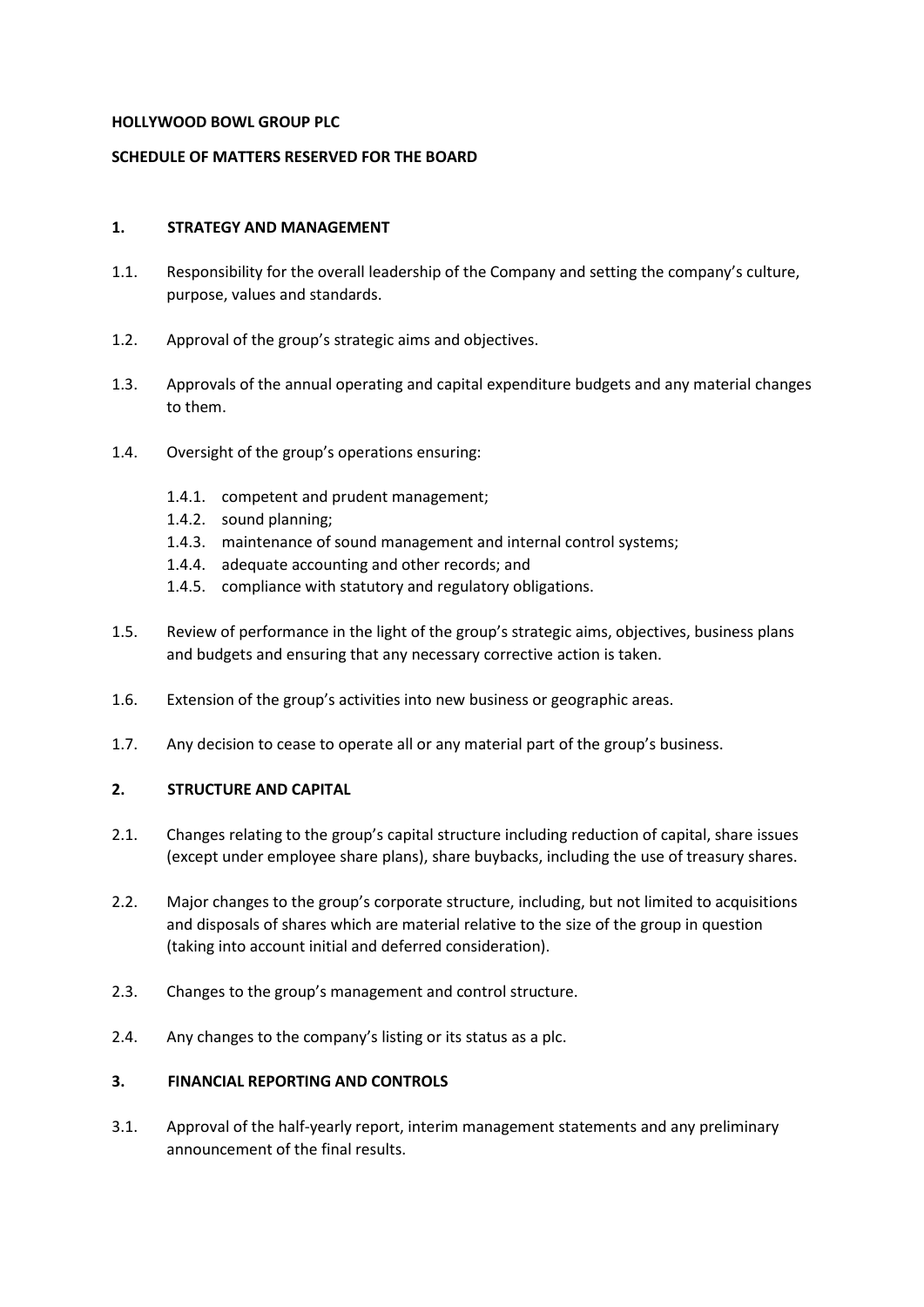#### **HOLLYWOOD BOWL GROUP PLC**

## **SCHEDULE OF MATTERS RESERVED FOR THE BOARD**

#### **1. STRATEGY AND MANAGEMENT**

- 1.1. Responsibility for the overall leadership of the Company and setting the company's culture, purpose, values and standards.
- 1.2. Approval of the group's strategic aims and objectives.
- 1.3. Approvals of the annual operating and capital expenditure budgets and any material changes to them.
- 1.4. Oversight of the group's operations ensuring:
	- 1.4.1. competent and prudent management;
	- 1.4.2. sound planning;
	- 1.4.3. maintenance of sound management and internal control systems;
	- 1.4.4. adequate accounting and other records; and
	- 1.4.5. compliance with statutory and regulatory obligations.
- 1.5. Review of performance in the light of the group's strategic aims, objectives, business plans and budgets and ensuring that any necessary corrective action is taken.
- 1.6. Extension of the group's activities into new business or geographic areas.
- 1.7. Any decision to cease to operate all or any material part of the group's business.

### **2. STRUCTURE AND CAPITAL**

- 2.1. Changes relating to the group's capital structure including reduction of capital, share issues (except under employee share plans), share buybacks, including the use of treasury shares.
- 2.2. Major changes to the group's corporate structure, including, but not limited to acquisitions and disposals of shares which are material relative to the size of the group in question (taking into account initial and deferred consideration).
- 2.3. Changes to the group's management and control structure.
- 2.4. Any changes to the company's listing or its status as a plc.

### **3. FINANCIAL REPORTING AND CONTROLS**

3.1. Approval of the half-yearly report, interim management statements and any preliminary announcement of the final results.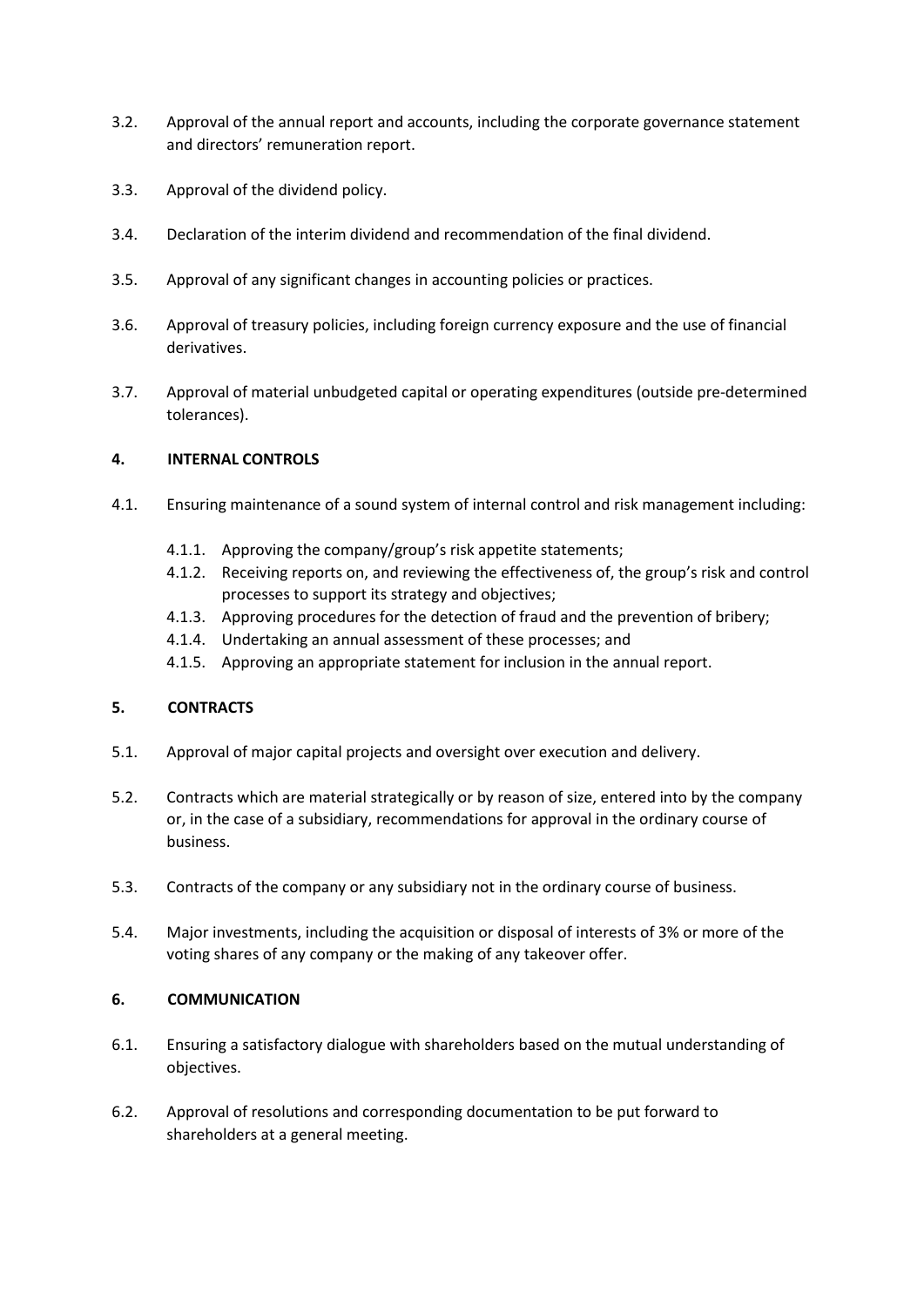- 3.2. Approval of the annual report and accounts, including the corporate governance statement and directors' remuneration report.
- 3.3. Approval of the dividend policy.
- 3.4. Declaration of the interim dividend and recommendation of the final dividend.
- 3.5. Approval of any significant changes in accounting policies or practices.
- 3.6. Approval of treasury policies, including foreign currency exposure and the use of financial derivatives.
- 3.7. Approval of material unbudgeted capital or operating expenditures (outside pre-determined tolerances).

#### **4. INTERNAL CONTROLS**

- 4.1. Ensuring maintenance of a sound system of internal control and risk management including:
	- 4.1.1. Approving the company/group's risk appetite statements;
	- 4.1.2. Receiving reports on, and reviewing the effectiveness of, the group's risk and control processes to support its strategy and objectives;
	- 4.1.3. Approving procedures for the detection of fraud and the prevention of bribery;
	- 4.1.4. Undertaking an annual assessment of these processes; and
	- 4.1.5. Approving an appropriate statement for inclusion in the annual report.

### **5. CONTRACTS**

- 5.1. Approval of major capital projects and oversight over execution and delivery.
- 5.2. Contracts which are material strategically or by reason of size, entered into by the company or, in the case of a subsidiary, recommendations for approval in the ordinary course of business.
- 5.3. Contracts of the company or any subsidiary not in the ordinary course of business.
- 5.4. Major investments, including the acquisition or disposal of interests of 3% or more of the voting shares of any company or the making of any takeover offer.

## **6. COMMUNICATION**

- 6.1. Ensuring a satisfactory dialogue with shareholders based on the mutual understanding of objectives.
- 6.2. Approval of resolutions and corresponding documentation to be put forward to shareholders at a general meeting.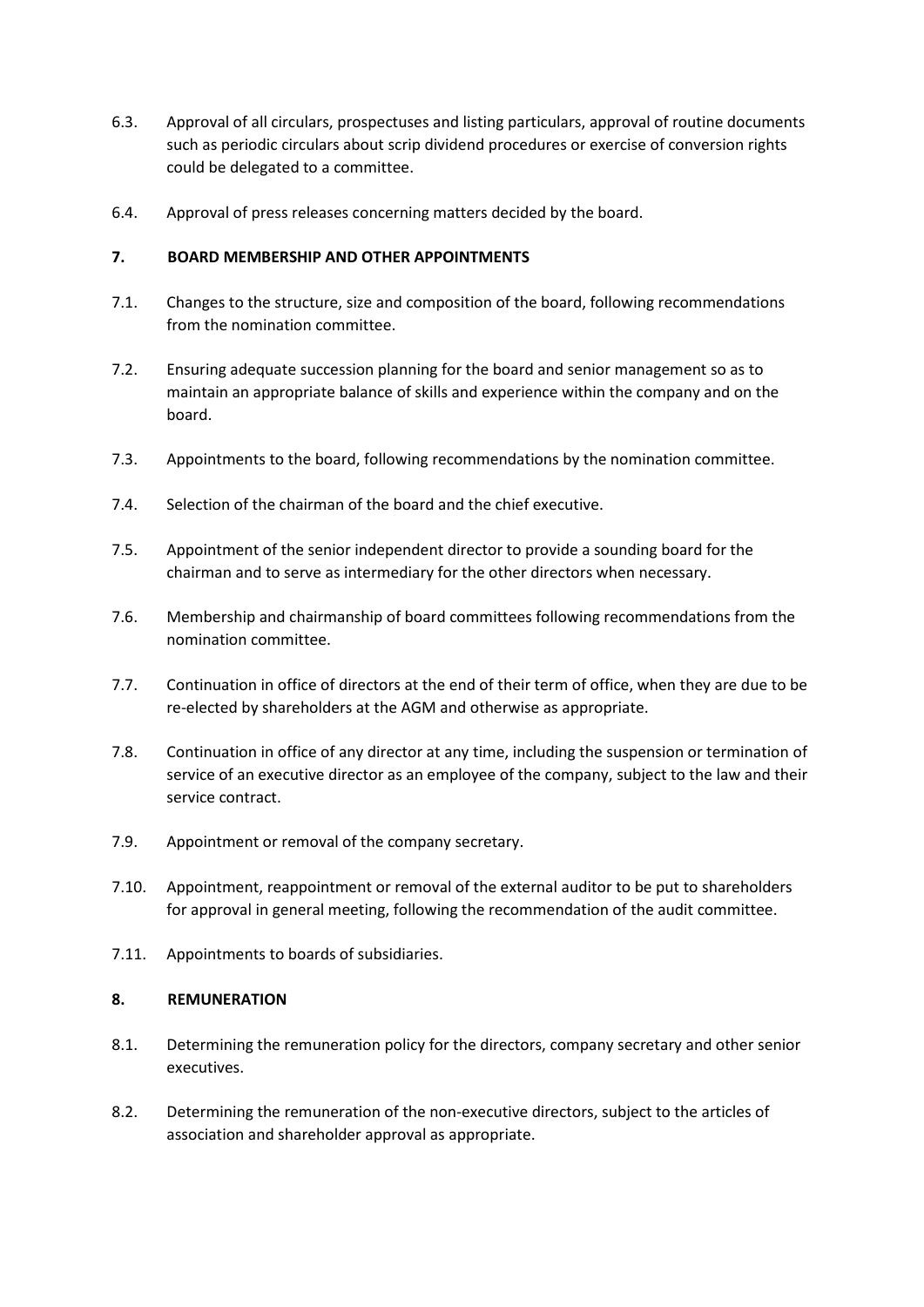- 6.3. Approval of all circulars, prospectuses and listing particulars, approval of routine documents such as periodic circulars about scrip dividend procedures or exercise of conversion rights could be delegated to a committee.
- 6.4. Approval of press releases concerning matters decided by the board.

## **7. BOARD MEMBERSHIP AND OTHER APPOINTMENTS**

- 7.1. Changes to the structure, size and composition of the board, following recommendations from the nomination committee.
- 7.2. Ensuring adequate succession planning for the board and senior management so as to maintain an appropriate balance of skills and experience within the company and on the board.
- 7.3. Appointments to the board, following recommendations by the nomination committee.
- 7.4. Selection of the chairman of the board and the chief executive.
- 7.5. Appointment of the senior independent director to provide a sounding board for the chairman and to serve as intermediary for the other directors when necessary.
- 7.6. Membership and chairmanship of board committees following recommendations from the nomination committee.
- 7.7. Continuation in office of directors at the end of their term of office, when they are due to be re-elected by shareholders at the AGM and otherwise as appropriate.
- 7.8. Continuation in office of any director at any time, including the suspension or termination of service of an executive director as an employee of the company, subject to the law and their service contract.
- 7.9. Appointment or removal of the company secretary.
- 7.10. Appointment, reappointment or removal of the external auditor to be put to shareholders for approval in general meeting, following the recommendation of the audit committee.
- 7.11. Appointments to boards of subsidiaries.

#### **8. REMUNERATION**

- 8.1. Determining the remuneration policy for the directors, company secretary and other senior executives.
- 8.2. Determining the remuneration of the non-executive directors, subject to the articles of association and shareholder approval as appropriate.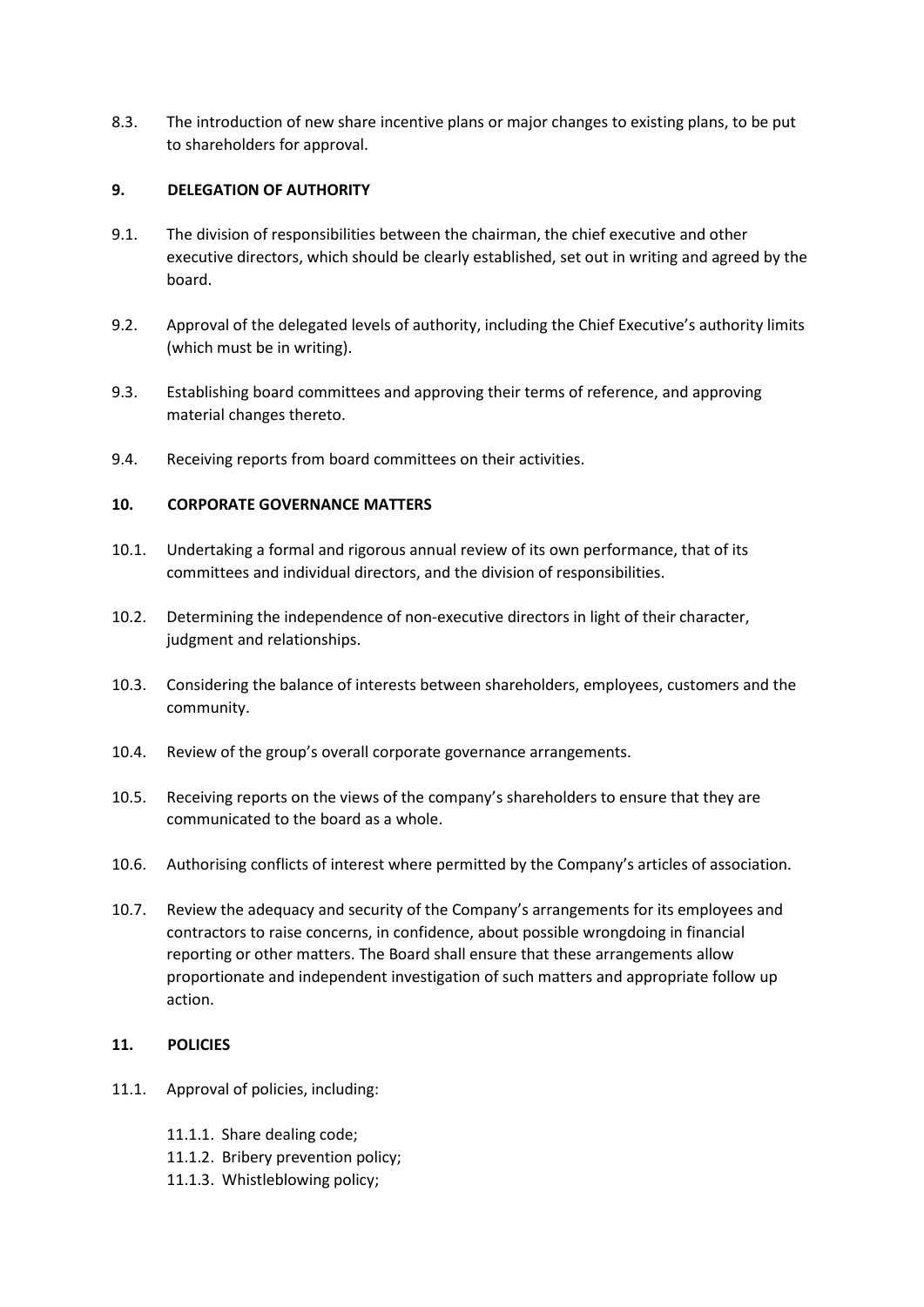8.3. The introduction of new share incentive plans or major changes to existing plans, to be put to shareholders for approval.

## **9. DELEGATION OF AUTHORITY**

- 9.1. The division of responsibilities between the chairman, the chief executive and other executive directors, which should be clearly established, set out in writing and agreed by the board.
- 9.2. Approval of the delegated levels of authority, including the Chief Executive's authority limits (which must be in writing).
- 9.3. Establishing board committees and approving their terms of reference, and approving material changes thereto.
- 9.4. Receiving reports from board committees on their activities.

## **10. CORPORATE GOVERNANCE MATTERS**

- 10.1. Undertaking a formal and rigorous annual review of its own performance, that of its committees and individual directors, and the division of responsibilities.
- 10.2. Determining the independence of non-executive directors in light of their character, judgment and relationships.
- 10.3. Considering the balance of interests between shareholders, employees, customers and the community.
- 10.4. Review of the group's overall corporate governance arrangements.
- 10.5. Receiving reports on the views of the company's shareholders to ensure that they are communicated to the board as a whole.
- 10.6. Authorising conflicts of interest where permitted by the Company's articles of association.
- 10.7. Review the adequacy and security of the Company's arrangements for its employees and contractors to raise concerns, in confidence, about possible wrongdoing in financial reporting or other matters. The Board shall ensure that these arrangements allow proportionate and independent investigation of such matters and appropriate follow up action.

# **11. POLICIES**

- 11.1. Approval of policies, including:
	- 11.1.1. Share dealing code;
	- 11.1.2. Bribery prevention policy;
	- 11.1.3. Whistleblowing policy;